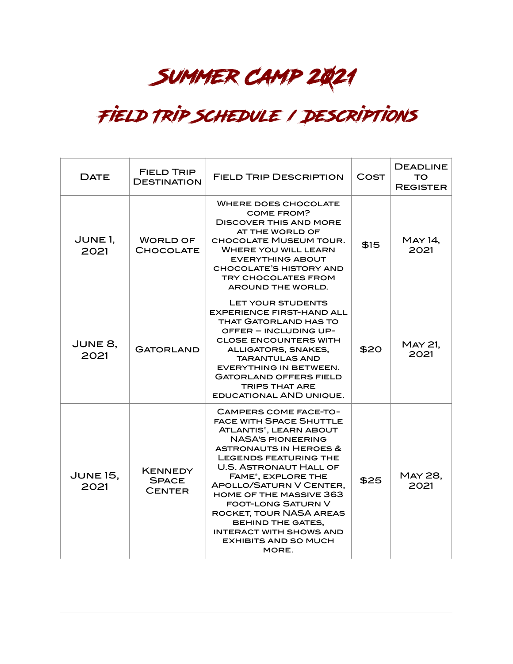## SUMMER CAMP 2021

## Field Trip Schedule / Descriptions

| <b>DATE</b>               | <b>FIELD TRIP</b><br><b>DESTINATION</b>         | <b>FIELD TRIP DESCRIPTION</b>                                                                                                                                                                                                                                                                                                                                                                                                                                               | COST | <b>DEADLINE</b><br>TO.<br><b>REGISTER</b> |
|---------------------------|-------------------------------------------------|-----------------------------------------------------------------------------------------------------------------------------------------------------------------------------------------------------------------------------------------------------------------------------------------------------------------------------------------------------------------------------------------------------------------------------------------------------------------------------|------|-------------------------------------------|
| JUNE <sub>1</sub><br>2021 | <b>WORLD OF</b><br><b>CHOCOLATE</b>             | <b>WHERE DOES CHOCOLATE</b><br>COME FROM?<br><b>DISCOVER THIS AND MORE</b><br>AT THE WORLD OF<br><b>CHOCOLATE MUSEUM TOUR.</b><br><b>WHERE YOU WILL LEARN</b><br><b>EVERYTHING ABOUT</b><br><b>CHOCOLATE'S HISTORY AND</b><br><b>TRY CHOCOLATES FROM</b><br>AROUND THE WORLD.                                                                                                                                                                                               | \$15 | <b>MAY 14,</b><br>2021                    |
| JUNE 8,<br>2021           | <b>GATORLAND</b>                                | LET YOUR STUDENTS<br><b>EXPERIENCE FIRST-HAND ALL</b><br><b>THAT GATORLAND HAS TO</b><br>OFFER - INCLUDING UP-<br><b>CLOSE ENCOUNTERS WITH</b><br>ALLIGATORS, SNAKES,<br><b>TARANTULAS AND</b><br><b>EVERYTHING IN BETWEEN.</b><br><b>GATORLAND OFFERS FIELD</b><br><b>TRIPS THAT ARE</b><br><b>EDUCATIONAL AND UNIQUE.</b>                                                                                                                                                 | \$20 | MAY 21,<br>2021                           |
| <b>JUNE 15,</b><br>2021   | <b>KENNEDY</b><br><b>SPACE</b><br><b>CENTER</b> | <b>CAMPERS COME FACE-TO-</b><br><b>FACE WITH SPACE SHUTTLE</b><br><b>ATLANTIS®, LEARN ABOUT</b><br><b>NASA'S PIONEERING</b><br><b>ASTRONAUTS IN HEROES &amp;</b><br><b>LEGENDS FEATURING THE</b><br><b>U.S. ASTRONAUT HALL OF</b><br>FAME®, EXPLORE THE<br>APOLLO/SATURN V CENTER,<br><b>HOME OF THE MASSIVE 363</b><br><b>FOOT-LONG SATURN V</b><br>ROCKET, TOUR NASA AREAS<br>BEHIND THE GATES,<br><b>INTERACT WITH SHOWS AND</b><br><b>EXHIBITS AND SO MUCH</b><br>MORE. | \$25 | MAY 28,<br>2021                           |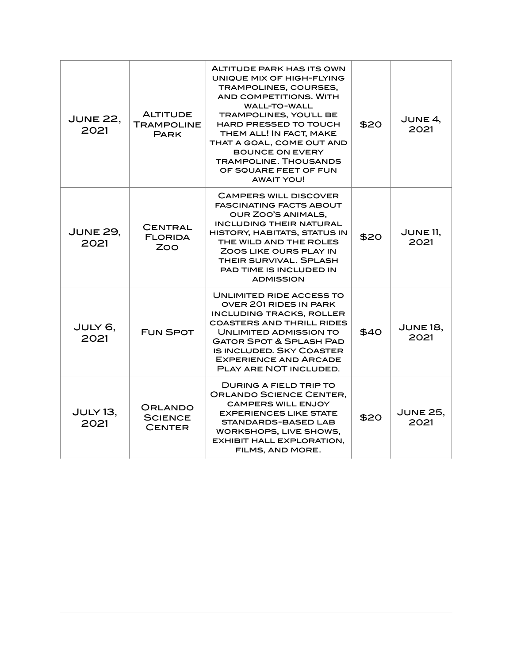| <b>JUNE 22.</b><br>2021 | <b>ALTITUDE</b><br><b>TRAMPOLINE</b><br><b>PARK</b> | ALTITUDE PARK HAS ITS OWN<br>UNIQUE MIX OF HIGH-FLYING<br>TRAMPOLINES, COURSES,<br><b>AND COMPETITIONS, WITH</b><br><b>WALL-TO-WALL</b><br><b>TRAMPOLINES, YOU'LL BE</b><br><b>HARD PRESSED TO TOUCH</b><br>THEM ALL! IN FACT, MAKE<br>THAT A GOAL, COME OUT AND<br><b>BOUNCE ON EVERY</b><br><b>TRAMPOLINE, THOUSANDS</b><br>OF SQUARE FEET OF FUN<br><b>AWAIT YOU!</b> | \$20 | JUNE $4$ ,<br>2021      |
|-------------------------|-----------------------------------------------------|--------------------------------------------------------------------------------------------------------------------------------------------------------------------------------------------------------------------------------------------------------------------------------------------------------------------------------------------------------------------------|------|-------------------------|
| <b>JUNE 29,</b><br>2021 | CENTRAL<br><b>FLORIDA</b><br>ZOO                    | <b>CAMPERS WILL DISCOVER</b><br><b>FASCINATING FACTS ABOUT</b><br>OUR ZOO'S ANIMALS,<br><b>INCLUDING THEIR NATURAL</b><br>HISTORY, HABITATS, STATUS IN<br>THE WILD AND THE ROLES<br>ZOOS LIKE OURS PLAY IN<br>THEIR SURVIVAL, SPLASH<br>PAD TIME IS INCLUDED IN<br><b>ADMISSION</b>                                                                                      | \$20 | JUNE $11$ ,<br>2021     |
| JULY 6,<br>2021         | <b>FUN SPOT</b>                                     | UNLIMITED RIDE ACCESS TO<br>OVER 201 RIDES IN PARK<br><b>INCLUDING TRACKS, ROLLER</b><br><b>COASTERS AND THRILL RIDES</b><br>UNLIMITED ADMISSION TO<br><b>GATOR SPOT &amp; SPLASH PAD</b><br><b>IS INCLUDED, SKY COASTER</b><br><b>EXPERIENCE AND ARCADE</b><br>PLAY ARE NOT INCLUDED.                                                                                   | \$40 | JUNE 18,<br>2021        |
| JULY 13,<br>2021        | ORLANDO<br><b>SCIENCE</b><br><b>CENTER</b>          | <b>DURING A FIELD TRIP TO</b><br><b>ORLANDO SCIENCE CENTER.</b><br><b>CAMPERS WILL ENJOY</b><br><b>EXPERIENCES LIKE STATE</b><br><b>STANDARDS-BASED LAB</b><br>WORKSHOPS, LIVE SHOWS,<br><b>EXHIBIT HALL EXPLORATION,</b><br>FILMS, AND MORE.                                                                                                                            | \$20 | <b>JUNE 25,</b><br>2021 |